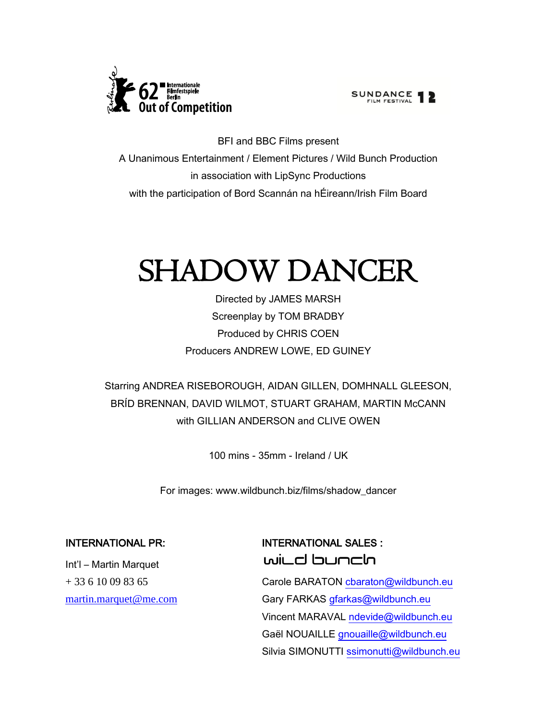

SUNDANCE <sup>1</sup>

BFI and BBC Films present A Unanimous Entertainment / Element Pictures / Wild Bunch Production in association with LipSync Productions with the participation of Bord Scannán na hÉireann/Irish Film Board

# SHADOW DANCER

Directed by JAMES MARSH Screenplay by TOM BRADBY Produced by CHRIS COEN Producers ANDREW LOWE, ED GUINEY

Starring ANDREA RISEBOROUGH, AIDAN GILLEN, DOMHNALL GLEESON, BRÍD BRENNAN, DAVID WILMOT, STUART GRAHAM, MARTIN McCANN with GILLIAN ANDERSON and CLIVE OWEN

100 mins - 35mm - Ireland / UK

For images: www.wildbunch.biz/films/shadow\_dancer

Int'l – Martin Marquet

# INTERNATIONAL PR: INTERNATIONAL SALES : wild bunch

+ 33 6 10 09 83 65 Carole BARATON charaton@wildbunch.eu [martin.marquet@me.com](mailto:martin.marquet@me.com) Gary FARKAS [gfarkas@wildbunch.eu](mailto:gfarkas@wildbunch.eu) Vincent MARAVAL [ndevide@wildbunch.eu](mailto:ndevide@wildbunch.eu) Gaël NOUAILLE [gnouaille@wildbunch.eu](mailto:gnouaille@wildbunch.eu) Silvia SIMONUTTI [ssimonutti@wildbunch.eu](mailto:ssimonutti@wildbunch.eu)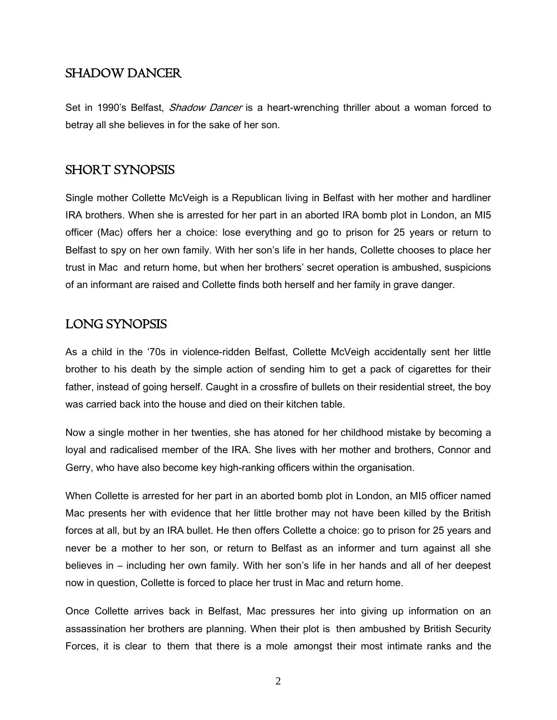# SHADOW DANCER

Set in 1990's Belfast, *Shadow Dancer* is a heart-wrenching thriller about a woman forced to betray all she believes in for the sake of her son.

# SHORT SYNOPSIS

Single mother Collette McVeigh is a Republican living in Belfast with her mother and hardliner IRA brothers. When she is arrested for her part in an aborted IRA bomb plot in London, an MI5 officer (Mac) offers her a choice: lose everything and go to prison for 25 years or return to Belfast to spy on her own family. With her son's life in her hands, Collette chooses to place her trust in Mac and return home, but when her brothers' secret operation is ambushed, suspicions of an informant are raised and Collette finds both herself and her family in grave danger.

# LONG SYNOPSIS

As a child in the '70s in violence-ridden Belfast, Collette McVeigh accidentally sent her little brother to his death by the simple action of sending him to get a pack of cigarettes for their father, instead of going herself. Caught in a crossfire of bullets on their residential street, the boy was carried back into the house and died on their kitchen table.

Now a single mother in her twenties, she has atoned for her childhood mistake by becoming a loyal and radicalised member of the IRA. She lives with her mother and brothers, Connor and Gerry, who have also become key high-ranking officers within the organisation.

When Collette is arrested for her part in an aborted bomb plot in London, an MI5 officer named Mac presents her with evidence that her little brother may not have been killed by the British forces at all, but by an IRA bullet. He then offers Collette a choice: go to prison for 25 years and never be a mother to her son, or return to Belfast as an informer and turn against all she believes in – including her own family. With her son's life in her hands and all of her deepest now in question, Collette is forced to place her trust in Mac and return home.

Once Collette arrives back in Belfast, Mac pressures her into giving up information on an assassination her brothers are planning. When their plot is then ambushed by British Security Forces, it is clear to them that there is a mole amongst their most intimate ranks and the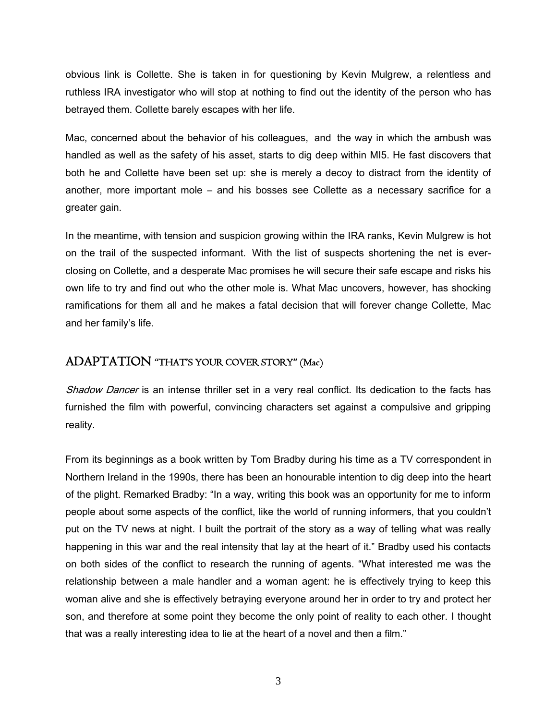obvious link is Collette. She is taken in for questioning by Kevin Mulgrew, a relentless and ruthless IRA investigator who will stop at nothing to find out the identity of the person who has betrayed them. Collette barely escapes with her life.

Mac, concerned about the behavior of his colleagues, and the way in which the ambush was handled as well as the safety of his asset, starts to dig deep within MI5. He fast discovers that both he and Collette have been set up: she is merely a decoy to distract from the identity of another, more important mole – and his bosses see Collette as a necessary sacrifice for a greater gain.

In the meantime, with tension and suspicion growing within the IRA ranks, Kevin Mulgrew is hot on the trail of the suspected informant. With the list of suspects shortening the net is everclosing on Collette, and a desperate Mac promises he will secure their safe escape and risks his own life to try and find out who the other mole is. What Mac uncovers, however, has shocking ramifications for them all and he makes a fatal decision that will forever change Collette, Mac and her family's life.

# ADAPTATION "THAT'S YOUR COVER STORY" (Mac)

Shadow Dancer is an intense thriller set in a very real conflict. Its dedication to the facts has furnished the film with powerful, convincing characters set against a compulsive and gripping reality.

From its beginnings as a book written by Tom Bradby during his time as a TV correspondent in Northern Ireland in the 1990s, there has been an honourable intention to dig deep into the heart of the plight. Remarked Bradby: "In a way, writing this book was an opportunity for me to inform people about some aspects of the conflict, like the world of running informers, that you couldn't put on the TV news at night. I built the portrait of the story as a way of telling what was really happening in this war and the real intensity that lay at the heart of it." Bradby used his contacts on both sides of the conflict to research the running of agents. "What interested me was the relationship between a male handler and a woman agent: he is effectively trying to keep this woman alive and she is effectively betraying everyone around her in order to try and protect her son, and therefore at some point they become the only point of reality to each other. I thought that was a really interesting idea to lie at the heart of a novel and then a film."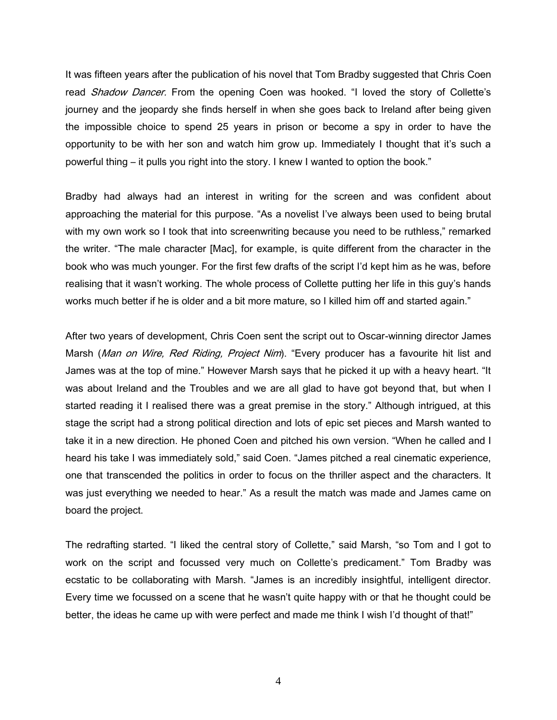It was fifteen years after the publication of his novel that Tom Bradby suggested that Chris Coen read *Shadow Dancer*. From the opening Coen was hooked. "I loved the story of Collette's journey and the jeopardy she finds herself in when she goes back to Ireland after being given the impossible choice to spend 25 years in prison or become a spy in order to have the opportunity to be with her son and watch him grow up. Immediately I thought that it's such a powerful thing – it pulls you right into the story. I knew I wanted to option the book."

Bradby had always had an interest in writing for the screen and was confident about approaching the material for this purpose. "As a novelist I've always been used to being brutal with my own work so I took that into screenwriting because you need to be ruthless," remarked the writer. "The male character [Mac], for example, is quite different from the character in the book who was much younger. For the first few drafts of the script I'd kept him as he was, before realising that it wasn't working. The whole process of Collette putting her life in this guy's hands works much better if he is older and a bit more mature, so I killed him off and started again."

After two years of development, Chris Coen sent the script out to Oscar-winning director James Marsh (Man on Wire, Red Riding, Project Nim). "Every producer has a favourite hit list and James was at the top of mine." However Marsh says that he picked it up with a heavy heart. "It was about Ireland and the Troubles and we are all glad to have got beyond that, but when I started reading it I realised there was a great premise in the story." Although intrigued, at this stage the script had a strong political direction and lots of epic set pieces and Marsh wanted to take it in a new direction. He phoned Coen and pitched his own version. "When he called and I heard his take I was immediately sold," said Coen. "James pitched a real cinematic experience, one that transcended the politics in order to focus on the thriller aspect and the characters. It was just everything we needed to hear." As a result the match was made and James came on board the project.

The redrafting started. "I liked the central story of Collette," said Marsh, "so Tom and I got to work on the script and focussed very much on Collette's predicament." Tom Bradby was ecstatic to be collaborating with Marsh. "James is an incredibly insightful, intelligent director. Every time we focussed on a scene that he wasn't quite happy with or that he thought could be better, the ideas he came up with were perfect and made me think I wish I'd thought of that!"

4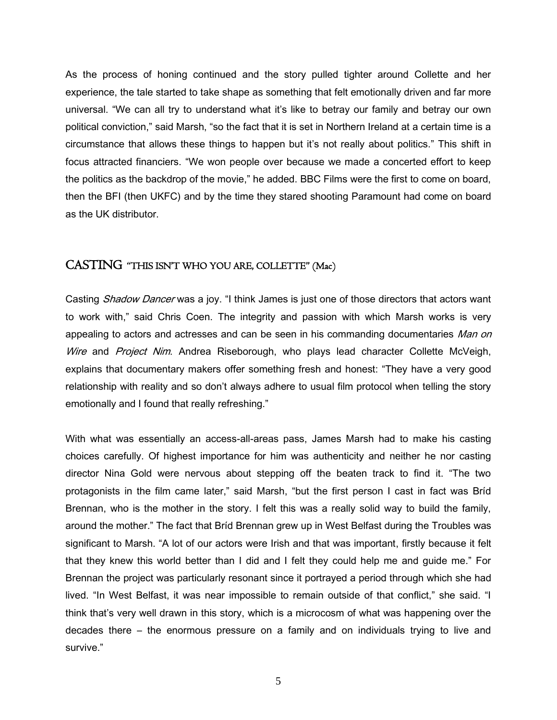As the process of honing continued and the story pulled tighter around Collette and her experience, the tale started to take shape as something that felt emotionally driven and far more universal. "We can all try to understand what it's like to betray our family and betray our own political conviction," said Marsh, "so the fact that it is set in Northern Ireland at a certain time is a circumstance that allows these things to happen but it's not really about politics." This shift in focus attracted financiers. "We won people over because we made a concerted effort to keep the politics as the backdrop of the movie," he added. BBC Films were the first to come on board, then the BFI (then UKFC) and by the time they stared shooting Paramount had come on board as the UK distributor.

# CASTING "THIS ISN'T WHO YOU ARE, COLLETTE" (Mac)

Casting Shadow Dancer was a joy. "I think James is just one of those directors that actors want to work with," said Chris Coen. The integrity and passion with which Marsh works is very appealing to actors and actresses and can be seen in his commanding documentaries Man on Wire and Project Nim. Andrea Riseborough, who plays lead character Collette McVeigh, explains that documentary makers offer something fresh and honest: "They have a very good relationship with reality and so don't always adhere to usual film protocol when telling the story emotionally and I found that really refreshing."

With what was essentially an access-all-areas pass, James Marsh had to make his casting choices carefully. Of highest importance for him was authenticity and neither he nor casting director Nina Gold were nervous about stepping off the beaten track to find it. "The two protagonists in the film came later," said Marsh, "but the first person I cast in fact was Bríd Brennan, who is the mother in the story. I felt this was a really solid way to build the family, around the mother." The fact that Bríd Brennan grew up in West Belfast during the Troubles was significant to Marsh. "A lot of our actors were Irish and that was important, firstly because it felt that they knew this world better than I did and I felt they could help me and guide me." For Brennan the project was particularly resonant since it portrayed a period through which she had lived. "In West Belfast, it was near impossible to remain outside of that conflict," she said. "I think that's very well drawn in this story, which is a microcosm of what was happening over the decades there – the enormous pressure on a family and on individuals trying to live and survive."

5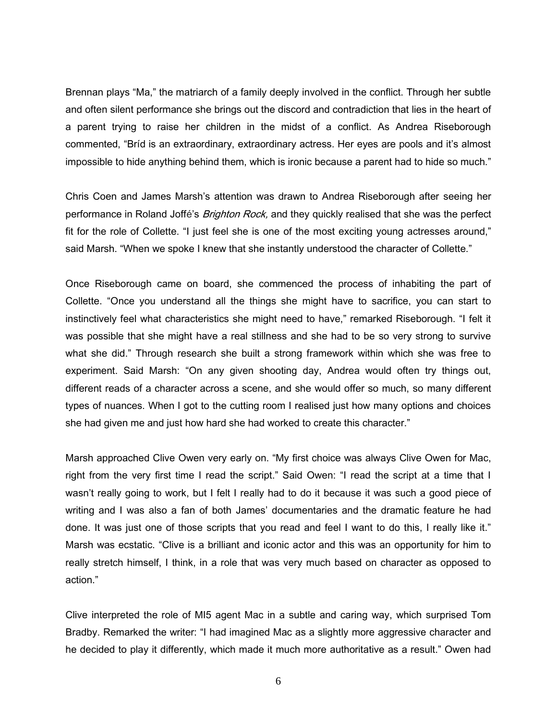Brennan plays "Ma," the matriarch of a family deeply involved in the conflict. Through her subtle and often silent performance she brings out the discord and contradiction that lies in the heart of a parent trying to raise her children in the midst of a conflict. As Andrea Riseborough commented, "Bríd is an extraordinary, extraordinary actress. Her eyes are pools and it's almost impossible to hide anything behind them, which is ironic because a parent had to hide so much."

Chris Coen and James Marsh's attention was drawn to Andrea Riseborough after seeing her performance in Roland Joffé's *Brighton Rock*, and they quickly realised that she was the perfect fit for the role of Collette. "I just feel she is one of the most exciting young actresses around," said Marsh. "When we spoke I knew that she instantly understood the character of Collette."

Once Riseborough came on board, she commenced the process of inhabiting the part of Collette. "Once you understand all the things she might have to sacrifice, you can start to instinctively feel what characteristics she might need to have," remarked Riseborough. "I felt it was possible that she might have a real stillness and she had to be so very strong to survive what she did." Through research she built a strong framework within which she was free to experiment. Said Marsh: "On any given shooting day, Andrea would often try things out, different reads of a character across a scene, and she would offer so much, so many different types of nuances. When I got to the cutting room I realised just how many options and choices she had given me and just how hard she had worked to create this character."

Marsh approached Clive Owen very early on. "My first choice was always Clive Owen for Mac, right from the very first time I read the script." Said Owen: "I read the script at a time that I wasn't really going to work, but I felt I really had to do it because it was such a good piece of writing and I was also a fan of both James' documentaries and the dramatic feature he had done. It was just one of those scripts that you read and feel I want to do this, I really like it." Marsh was ecstatic. "Clive is a brilliant and iconic actor and this was an opportunity for him to really stretch himself, I think, in a role that was very much based on character as opposed to action."

Clive interpreted the role of MI5 agent Mac in a subtle and caring way, which surprised Tom Bradby. Remarked the writer: "I had imagined Mac as a slightly more aggressive character and he decided to play it differently, which made it much more authoritative as a result." Owen had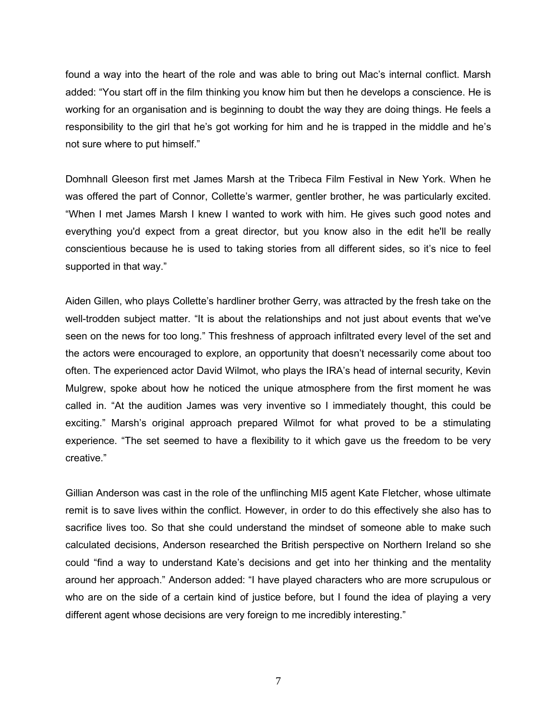found a way into the heart of the role and was able to bring out Mac's internal conflict. Marsh added: "You start off in the film thinking you know him but then he develops a conscience. He is working for an organisation and is beginning to doubt the way they are doing things. He feels a responsibility to the girl that he's got working for him and he is trapped in the middle and he's not sure where to put himself."

Domhnall Gleeson first met James Marsh at the Tribeca Film Festival in New York. When he was offered the part of Connor, Collette's warmer, gentler brother, he was particularly excited. "When I met James Marsh I knew I wanted to work with him. He gives such good notes and everything you'd expect from a great director, but you know also in the edit he'll be really conscientious because he is used to taking stories from all different sides, so it's nice to feel supported in that way."

Aiden Gillen, who plays Collette's hardliner brother Gerry, was attracted by the fresh take on the well-trodden subject matter. "It is about the relationships and not just about events that we've seen on the news for too long." This freshness of approach infiltrated every level of the set and the actors were encouraged to explore, an opportunity that doesn't necessarily come about too often. The experienced actor David Wilmot, who plays the IRA's head of internal security, Kevin Mulgrew, spoke about how he noticed the unique atmosphere from the first moment he was called in. "At the audition James was very inventive so I immediately thought, this could be exciting." Marsh's original approach prepared Wilmot for what proved to be a stimulating experience. "The set seemed to have a flexibility to it which gave us the freedom to be very creative."

Gillian Anderson was cast in the role of the unflinching MI5 agent Kate Fletcher, whose ultimate remit is to save lives within the conflict. However, in order to do this effectively she also has to sacrifice lives too. So that she could understand the mindset of someone able to make such calculated decisions, Anderson researched the British perspective on Northern Ireland so she could "find a way to understand Kate's decisions and get into her thinking and the mentality around her approach." Anderson added: "I have played characters who are more scrupulous or who are on the side of a certain kind of justice before, but I found the idea of playing a very different agent whose decisions are very foreign to me incredibly interesting."

7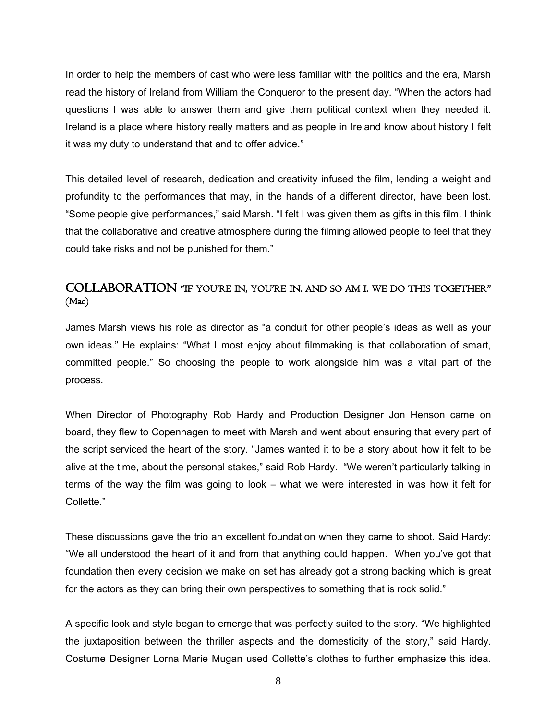In order to help the members of cast who were less familiar with the politics and the era, Marsh read the history of Ireland from William the Conqueror to the present day. "When the actors had questions I was able to answer them and give them political context when they needed it. Ireland is a place where history really matters and as people in Ireland know about history I felt it was my duty to understand that and to offer advice."

This detailed level of research, dedication and creativity infused the film, lending a weight and profundity to the performances that may, in the hands of a different director, have been lost. "Some people give performances," said Marsh. "I felt I was given them as gifts in this film. I think that the collaborative and creative atmosphere during the filming allowed people to feel that they could take risks and not be punished for them."

# COLLABORATION "IF YOU'RE IN, YOU'RE IN. AND SO AM I. WE DO THIS TOGETHER" (Mac)

James Marsh views his role as director as "a conduit for other people's ideas as well as your own ideas." He explains: "What I most enjoy about filmmaking is that collaboration of smart, committed people." So choosing the people to work alongside him was a vital part of the process.

When Director of Photography Rob Hardy and Production Designer Jon Henson came on board, they flew to Copenhagen to meet with Marsh and went about ensuring that every part of the script serviced the heart of the story. "James wanted it to be a story about how it felt to be alive at the time, about the personal stakes," said Rob Hardy. "We weren't particularly talking in terms of the way the film was going to look – what we were interested in was how it felt for Collette."

These discussions gave the trio an excellent foundation when they came to shoot. Said Hardy: "We all understood the heart of it and from that anything could happen. When you've got that foundation then every decision we make on set has already got a strong backing which is great for the actors as they can bring their own perspectives to something that is rock solid."

A specific look and style began to emerge that was perfectly suited to the story. "We highlighted the juxtaposition between the thriller aspects and the domesticity of the story," said Hardy. Costume Designer Lorna Marie Mugan used Collette's clothes to further emphasize this idea.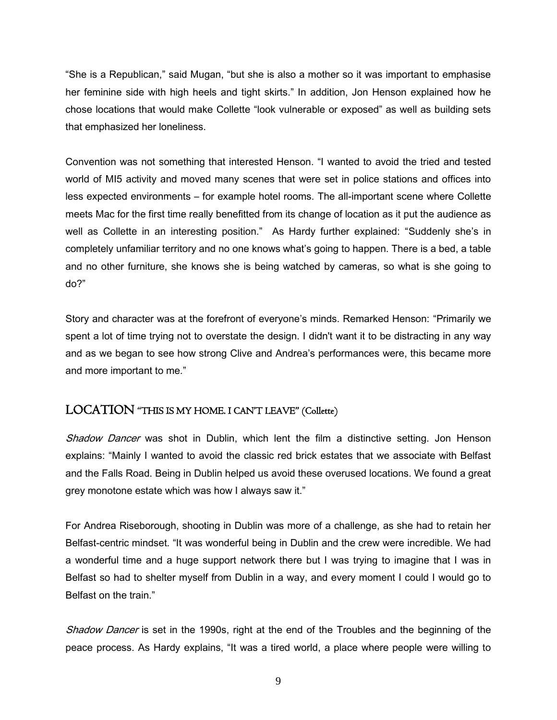"She is a Republican," said Mugan, "but she is also a mother so it was important to emphasise her feminine side with high heels and tight skirts." In addition, Jon Henson explained how he chose locations that would make Collette "look vulnerable or exposed" as well as building sets that emphasized her loneliness.

Convention was not something that interested Henson. "I wanted to avoid the tried and tested world of MI5 activity and moved many scenes that were set in police stations and offices into less expected environments – for example hotel rooms. The all-important scene where Collette meets Mac for the first time really benefitted from its change of location as it put the audience as well as Collette in an interesting position." As Hardy further explained: "Suddenly she's in completely unfamiliar territory and no one knows what's going to happen. There is a bed, a table and no other furniture, she knows she is being watched by cameras, so what is she going to do?"

Story and character was at the forefront of everyone's minds. Remarked Henson: "Primarily we spent a lot of time trying not to overstate the design. I didn't want it to be distracting in any way and as we began to see how strong Clive and Andrea's performances were, this became more and more important to me."

# LOCATION "THIS IS MY HOME. I CAN'T LEAVE" (Collette)

Shadow Dancer was shot in Dublin, which lent the film a distinctive setting. Jon Henson explains: "Mainly I wanted to avoid the classic red brick estates that we associate with Belfast and the Falls Road. Being in Dublin helped us avoid these overused locations. We found a great grey monotone estate which was how I always saw it."

For Andrea Riseborough, shooting in Dublin was more of a challenge, as she had to retain her Belfast-centric mindset. "It was wonderful being in Dublin and the crew were incredible. We had a wonderful time and a huge support network there but I was trying to imagine that I was in Belfast so had to shelter myself from Dublin in a way, and every moment I could I would go to Belfast on the train."

Shadow Dancer is set in the 1990s, right at the end of the Troubles and the beginning of the peace process. As Hardy explains, "It was a tired world, a place where people were willing to

9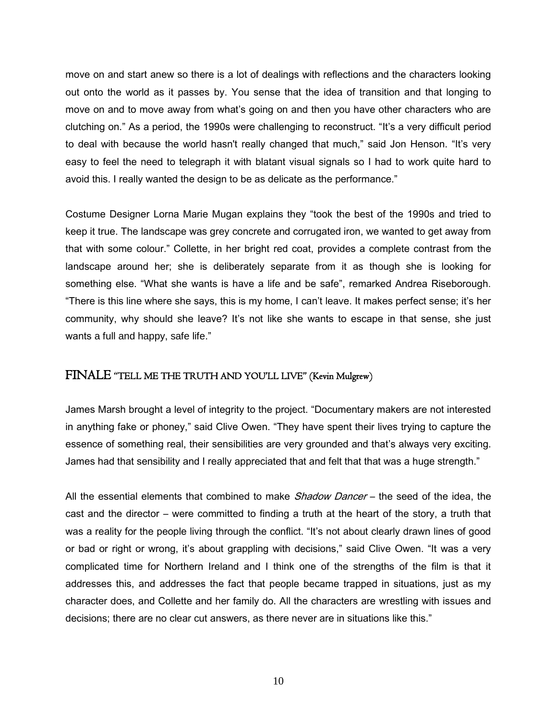move on and start anew so there is a lot of dealings with reflections and the characters looking out onto the world as it passes by. You sense that the idea of transition and that longing to move on and to move away from what's going on and then you have other characters who are clutching on." As a period, the 1990s were challenging to reconstruct. "It's a very difficult period to deal with because the world hasn't really changed that much," said Jon Henson. "It's very easy to feel the need to telegraph it with blatant visual signals so I had to work quite hard to avoid this. I really wanted the design to be as delicate as the performance."

Costume Designer Lorna Marie Mugan explains they "took the best of the 1990s and tried to keep it true. The landscape was grey concrete and corrugated iron, we wanted to get away from that with some colour." Collette, in her bright red coat, provides a complete contrast from the landscape around her; she is deliberately separate from it as though she is looking for something else. "What she wants is have a life and be safe", remarked Andrea Riseborough. "There is this line where she says, this is my home, I can't leave. It makes perfect sense; it's her community, why should she leave? It's not like she wants to escape in that sense, she just wants a full and happy, safe life."

# FINALE "TELL ME THE TRUTH AND YOU'LL LIVE" (Kevin Mulgrew)

James Marsh brought a level of integrity to the project. "Documentary makers are not interested in anything fake or phoney," said Clive Owen. "They have spent their lives trying to capture the essence of something real, their sensibilities are very grounded and that's always very exciting. James had that sensibility and I really appreciated that and felt that that was a huge strength."

All the essential elements that combined to make *Shadow Dancer* – the seed of the idea, the cast and the director – were committed to finding a truth at the heart of the story, a truth that was a reality for the people living through the conflict. "It's not about clearly drawn lines of good or bad or right or wrong, it's about grappling with decisions," said Clive Owen. "It was a very complicated time for Northern Ireland and I think one of the strengths of the film is that it addresses this, and addresses the fact that people became trapped in situations, just as my character does, and Collette and her family do. All the characters are wrestling with issues and decisions; there are no clear cut answers, as there never are in situations like this."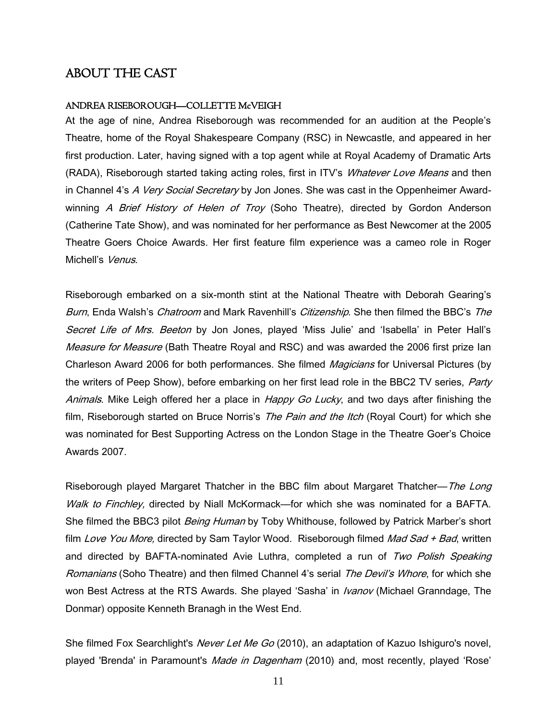# ABOUT THE CAST

# ANDREA RISEBOROUGH—COLLETTE McVEIGH

At the age of nine, Andrea Riseborough was recommended for an audition at the People's Theatre, home of the Royal Shakespeare Company (RSC) in Newcastle, and appeared in her first production. Later, having signed with a top agent while at Royal Academy of Dramatic Arts (RADA), Riseborough started taking acting roles, first in ITV's *Whatever Love Means* and then in Channel 4's A Very Social Secretary by Jon Jones. She was cast in the Oppenheimer Awardwinning A Brief History of Helen of Troy (Soho Theatre), directed by Gordon Anderson (Catherine Tate Show), and was nominated for her performance as Best Newcomer at the 2005 Theatre Goers Choice Awards. Her first feature film experience was a cameo role in Roger Michell's Venus

Riseborough embarked on a six-month stint at the National Theatre with Deborah Gearing's Burn, Enda Walsh's *Chatroom* and Mark Ravenhill's *Citizenship*. She then filmed the BBC's The Secret Life of Mrs. Beeton by Jon Jones, played 'Miss Julie' and 'Isabella' in Peter Hall's Measure for Measure (Bath Theatre Royal and RSC) and was awarded the 2006 first prize Ian Charleson Award 2006 for both performances. She filmed Magicians for Universal Pictures (by the writers of Peep Show), before embarking on her first lead role in the BBC2 TV series, *Party* Animals. Mike Leigh offered her a place in Happy Go Lucky, and two days after finishing the film, Riseborough started on Bruce Norris's *The Pain and the Itch* (Royal Court) for which she was nominated for Best Supporting Actress on the London Stage in the Theatre Goer's Choice Awards 2007.

Riseborough played Margaret Thatcher in the BBC film about Margaret Thatcher—The Long Walk to Finchley, directed by Niall McKormack—for which she was nominated for a BAFTA. She filmed the BBC3 pilot *Being Human* by Toby Whithouse, followed by Patrick Marber's short film Love You More, directed by Sam Taylor Wood. Riseborough filmed Mad Sad + Bad, written and directed by BAFTA-nominated Avie Luthra, completed a run of Two Polish Speaking Romanians (Soho Theatre) and then filmed Channel 4's serial The Devil's Whore, for which she won Best Actress at the RTS Awards. She played 'Sasha' in *Ivanov* (Michael Granndage, The Donmar) opposite Kenneth Branagh in the West End.

She filmed Fox Searchlight's *Never Let Me Go* (2010), an adaptation of Kazuo Ishiguro's novel, played 'Brenda' in Paramount's *Made in Dagenham* (2010) and, most recently, played 'Rose'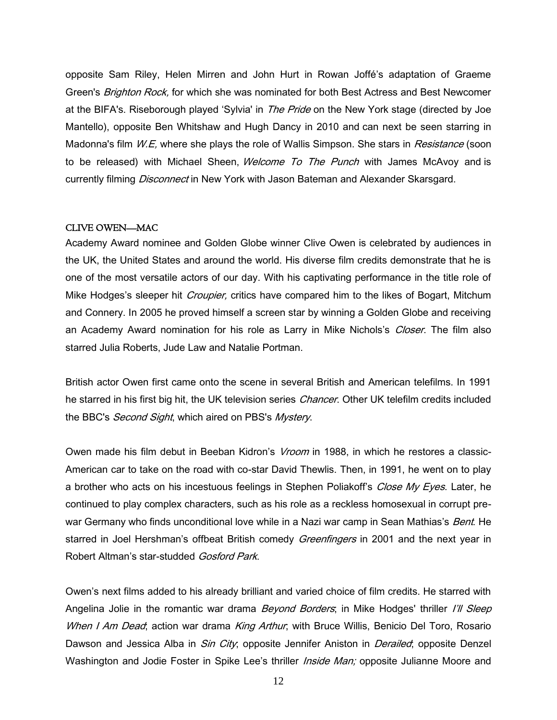opposite Sam Riley, Helen Mirren and John Hurt in Rowan Joffé's adaptation of Graeme Green's *Brighton Rock*, for which she was nominated for both Best Actress and Best Newcomer at the BIFA's. Riseborough played 'Sylvia' in The Pride on the New York stage (directed by Joe Mantello), opposite Ben Whitshaw and Hugh Dancy in 2010 and can next be seen starring in Madonna's film W.E, where she plays the role of Wallis Simpson. She stars in Resistance (soon to be released) with Michael Sheen, *Welcome To The Punch* with James McAvoy and is currently filming *Disconnect* in New York with Jason Bateman and Alexander Skarsgard.

#### CLIVE OWEN—MAC

Academy Award nominee and Golden Globe winner Clive Owen is celebrated by audiences in the UK, the United States and around the world. His diverse film credits demonstrate that he is one of the most versatile actors of our day. With his captivating performance in the title role of Mike Hodges's sleeper hit *Croupier*, critics have compared him to the likes of Bogart, Mitchum and Connery. In 2005 he proved himself a screen star by winning a Golden Globe and receiving an Academy Award nomination for his role as Larry in Mike Nichols's Closer. The film also starred Julia Roberts, Jude Law and Natalie Portman.

British actor Owen first came onto the scene in several British and American telefilms. In 1991 he starred in his first big hit, the UK television series Chancer. Other UK telefilm credits included the BBC's *Second Sight*, which aired on PBS's *Mystery*.

Owen made his film debut in Beeban Kidron's *Vroom* in 1988, in which he restores a classic-American car to take on the road with co-star David Thewlis. Then, in 1991, he went on to play a brother who acts on his incestuous feelings in Stephen Poliakoff's *Close My Eyes*. Later, he continued to play complex characters, such as his role as a reckless homosexual in corrupt prewar Germany who finds unconditional love while in a Nazi war camp in Sean Mathias's *Bent*. He starred in Joel Hershman's offbeat British comedy Greenfingers in 2001 and the next year in Robert Altman's star-studded Gosford Park.

Owen's next films added to his already brilliant and varied choice of film credits. He starred with Angelina Jolie in the romantic war drama *Beyond Borders*; in Mike Hodges' thriller I'll Sleep When I Am Dead; action war drama King Arthur; with Bruce Willis, Benicio Del Toro, Rosario Dawson and Jessica Alba in *Sin City*; opposite Jennifer Aniston in *Derailed*; opposite Denzel Washington and Jodie Foster in Spike Lee's thriller *Inside Man;* opposite Julianne Moore and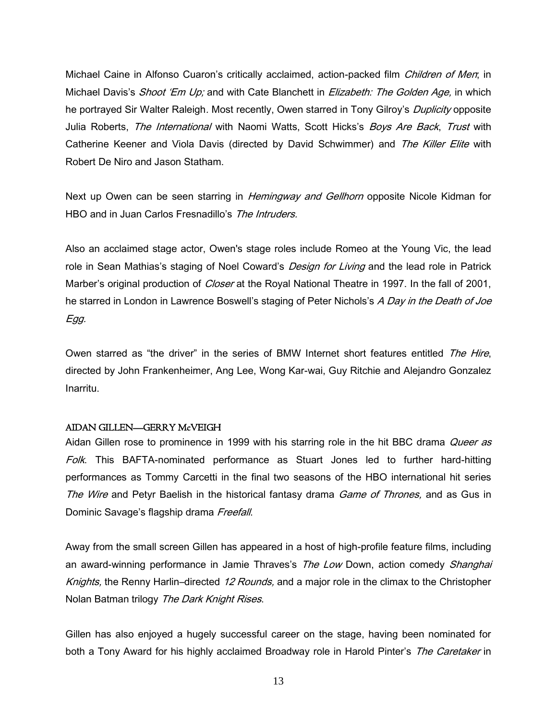Michael Caine in Alfonso Cuaron's critically acclaimed, action-packed film Children of Men; in Michael Davis's Shoot 'Em Up; and with Cate Blanchett in Elizabeth: The Golden Age, in which he portrayed Sir Walter Raleigh. Most recently, Owen starred in Tony Gilroy's *Duplicity* opposite Julia Roberts, *The International* with Naomi Watts, Scott Hicks's *Boys Are Back, Trust* with Catherine Keener and Viola Davis (directed by David Schwimmer) and The Killer Elite with Robert De Niro and Jason Statham.

Next up Owen can be seen starring in *Hemingway and Gellhorn* opposite Nicole Kidman for HBO and in Juan Carlos Fresnadillo's The Intruders.

Also an acclaimed stage actor, Owen's stage roles include Romeo at the Young Vic, the lead role in Sean Mathias's staging of Noel Coward's *Design for Living* and the lead role in Patrick Marber's original production of *Closer* at the Royal National Theatre in 1997. In the fall of 2001, he starred in London in Lawrence Boswell's staging of Peter Nichols's A Day in the Death of Joe Egg.

Owen starred as "the driver" in the series of BMW Internet short features entitled The Hire, directed by John Frankenheimer, Ang Lee, Wong Kar-wai, Guy Ritchie and Alejandro Gonzalez Inarritu.

# AIDAN GILLEN—GERRY McVEIGH

Aidan Gillen rose to prominence in 1999 with his starring role in the hit BBC drama *Queer as* Folk. This BAFTA-nominated performance as Stuart Jones led to further hard-hitting performances as Tommy Carcetti in the final two seasons of the HBO international hit series The Wire and Petyr Baelish in the historical fantasy drama Game of Thrones, and as Gus in Dominic Savage's flagship drama Freefall.

Away from the small screen Gillen has appeared in a host of high-profile feature films, including an award-winning performance in Jamie Thraves's The Low Down, action comedy Shanghai Knights, the Renny Harlin–directed 12 Rounds, and a major role in the climax to the Christopher Nolan Batman trilogy The Dark Knight Rises.

Gillen has also enjoyed a hugely successful career on the stage, having been nominated for both a Tony Award for his highly acclaimed Broadway role in Harold Pinter's The Caretaker in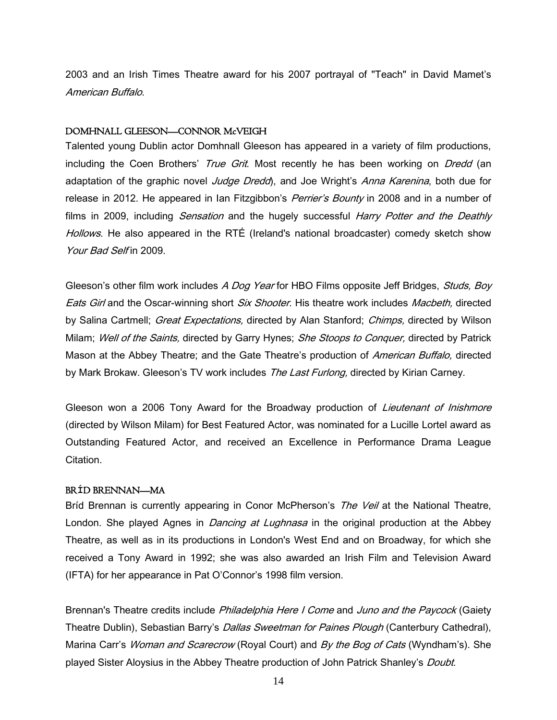2003 and an Irish Times Theatre award for his 2007 portrayal of "Teach" in David Mamet's American Buffalo.

#### DOMHNALL GLEESON—CONNOR McVEIGH

Talented young Dublin actor Domhnall Gleeson has appeared in a variety of film productions, including the Coen Brothers' True Grit. Most recently he has been working on Dredd (an adaptation of the graphic novel Judge Dredd), and Joe Wright's Anna Karenina, both due for release in 2012. He appeared in Ian Fitzgibbon's *Perrier's Bounty* in 2008 and in a number of films in 2009, including *Sensation* and the hugely successful *Harry Potter and the Deathly* Hollows. He also appeared in the RTÉ (Ireland's national broadcaster) comedy sketch show Your Bad Self in 2009.

Gleeson's other film work includes A Dog Year for HBO Films opposite Jeff Bridges, Studs, Boy Eats Girl and the Oscar-winning short *Six Shooter*. His theatre work includes *Macbeth*, directed by Salina Cartmell; *Great Expectations*, directed by Alan Stanford; *Chimps*, directed by Wilson Milam; Well of the Saints, directed by Garry Hynes; She Stoops to Conquer, directed by Patrick Mason at the Abbey Theatre; and the Gate Theatre's production of American Buffalo, directed by Mark Brokaw. Gleeson's TV work includes The Last Furlong, directed by Kirian Carney.

Gleeson won a 2006 Tony Award for the Broadway production of *Lieutenant of Inishmore* (directed by Wilson Milam) for Best Featured Actor, was nominated for a Lucille Lortel award as Outstanding Featured Actor, and received an Excellence in Performance Drama League Citation.

# BR**Í**D BRENNAN—MA

Bríd Brennan is currently appearing in Conor McPherson's The Veil at the National Theatre, London. She played Agnes in *Dancing at Lughnasa* in the original production at the Abbey Theatre, as well as in its productions in London's West End and on Broadway, for which she received a Tony Award in 1992; she was also awarded an Irish Film and Television Award (IFTA) for her appearance in Pat O'Connor's 1998 film version.

Brennan's Theatre credits include Philadelphia Here I Come and Juno and the Paycock (Gaiety Theatre Dublin), Sebastian Barry's *Dallas Sweetman for Paines Plough* (Canterbury Cathedral), Marina Carr's Woman and Scarecrow (Royal Court) and By the Bog of Cats (Wyndham's). She played Sister Aloysius in the Abbey Theatre production of John Patrick Shanley's *Doubt*.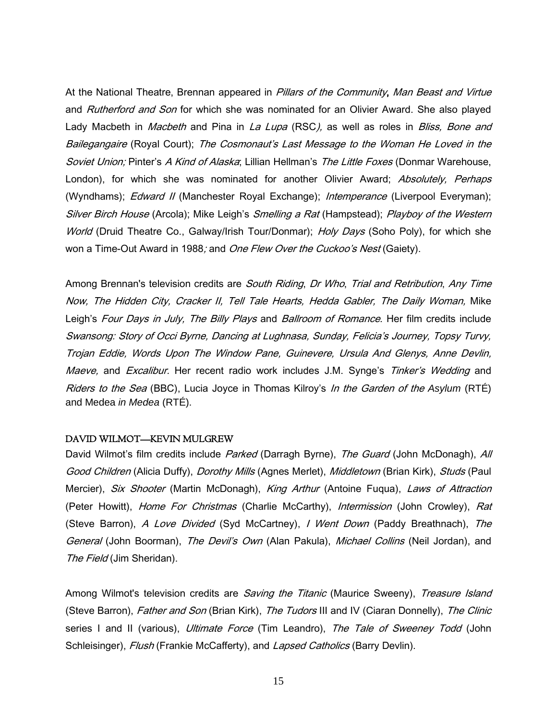At the National Theatre, Brennan appeared in *Pillars of the Community, Man Beast and Virtue* and Rutherford and Son for which she was nominated for an Olivier Award. She also played Lady Macbeth in *Macbeth* and Pina in *La Lupa* (RSC), as well as roles in *Bliss, Bone and* Bailegangaire (Royal Court); The Cosmonaut's Last Message to the Woman He Loved in the Soviet Union; Pinter's A Kind of Alaska; Lillian Hellman's The Little Foxes (Donmar Warehouse, London), for which she was nominated for another Olivier Award; Absolutely, Perhaps (Wyndhams); *Edward II* (Manchester Royal Exchange); *Intemperance* (Liverpool Everyman); Silver Birch House (Arcola); Mike Leigh's Smelling a Rat (Hampstead); Playboy of the Western World (Druid Theatre Co., Galway/Irish Tour/Donmar); Holy Days (Soho Poly), for which she won a Time-Out Award in 1988; and *One Flew Over the Cuckoo's Nest* (Gaiety).

Among Brennan's television credits are *South Riding, Dr Who, Trial and Retribution, Any Time* Now, The Hidden City, Cracker II, Tell Tale Hearts, Hedda Gabler, The Daily Woman, Mike Leigh's Four Days in July, The Billy Plays and Ballroom of Romance. Her film credits include Swansong: Story of Occi Byrne, Dancing at Lughnasa, Sunday, Felicia's Journey, Topsy Turvy, Trojan Eddie, Words Upon The Window Pane, Guinevere, Ursula And Glenys, Anne Devlin, Maeve, and Excalibur. Her recent radio work includes J.M. Synge's Tinker's Wedding and Riders to the Sea (BBC), Lucia Joyce in Thomas Kilroy's In the Garden of the *Asylum* (RTÉ) and Medea *in Medea* (RTÉ).

# DAVID WILMOT—KEVIN MULGREW

David Wilmot's film credits include *Parked* (Darragh Byrne), *The Guard* (John McDonagh), *All* Good Children (Alicia Duffy), *Dorothy Mills* (Agnes Merlet), *Middletown* (Brian Kirk), *Studs* (Paul Mercier), Six Shooter (Martin McDonagh), King Arthur (Antoine Fuqua), Laws of Attraction (Peter Howitt), *Home For Christmas* (Charlie McCarthy), *Intermission* (John Crowley), Rat (Steve Barron), A Love Divided (Syd McCartney), I Went Down (Paddy Breathnach), The General (John Boorman), The Devil's Own (Alan Pakula), Michael Collins (Neil Jordan), and The Field (Jim Sheridan).

Among Wilmot's television credits are *Saving the Titanic* (Maurice Sweeny), Treasure Island (Steve Barron), *Father and Son* (Brian Kirk), *The Tudors* III and IV (Ciaran Donnelly), *The Clinic* series I and II (various), *Ultimate Force* (Tim Leandro), The Tale of Sweeney Todd (John Schleisinger), Flush (Frankie McCafferty), and Lapsed Catholics (Barry Devlin).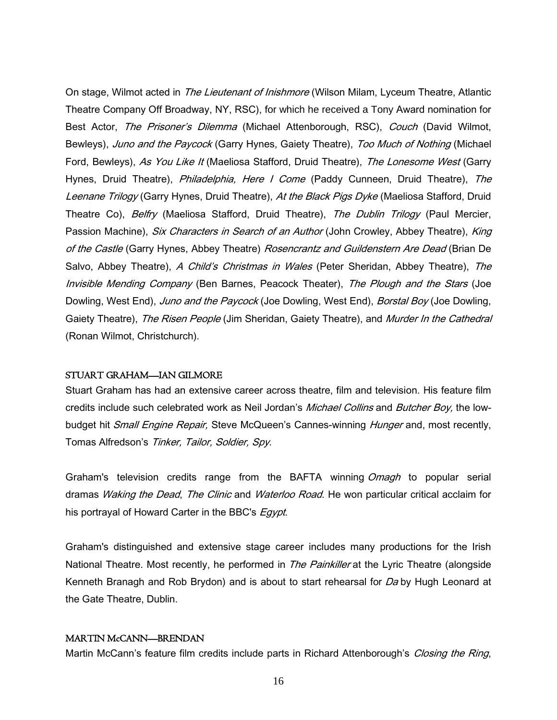On stage, Wilmot acted in *The Lieutenant of Inishmore* (Wilson Milam, Lyceum Theatre, Atlantic Theatre Company Off Broadway, NY, RSC), for which he received a Tony Award nomination for Best Actor, The Prisoner's Dilemma (Michael Attenborough, RSC), Couch (David Wilmot, Bewleys), Juno and the Paycock (Garry Hynes, Gaiety Theatre), Too Much of Nothing (Michael Ford, Bewleys), As You Like It (Maeliosa Stafford, Druid Theatre), The Lonesome West (Garry Hynes, Druid Theatre), *Philadelphia, Here I Come* (Paddy Cunneen, Druid Theatre), The Leenane Trilogy (Garry Hynes, Druid Theatre), At the Black Pigs Dyke (Maeliosa Stafford, Druid Theatre Co), *Belfry* (Maeliosa Stafford, Druid Theatre), *The Dublin Trilogy* (Paul Mercier, Passion Machine), Six Characters in Search of an Author (John Crowley, Abbey Theatre), King of the Castle (Garry Hynes, Abbey Theatre) Rosencrantz and Guildenstern Are Dead (Brian De Salvo, Abbey Theatre), A Child's Christmas in Wales (Peter Sheridan, Abbey Theatre), The Invisible Mending Company (Ben Barnes, Peacock Theater), The Plough and the Stars (Joe Dowling, West End), *Juno and the Paycock* (Joe Dowling, West End), *Borstal Boy* (Joe Dowling, Gaiety Theatre), The Risen People (Jim Sheridan, Gaiety Theatre), and Murder In the Cathedral (Ronan Wilmot, Christchurch).

# STUART GRAHAM—IAN GILMORE

Stuart Graham has had an extensive career across theatre, film and television. His feature film credits include such celebrated work as Neil Jordan's *Michael Collins* and *Butcher Boy*, the lowbudget hit *Small Engine Repair*, Steve McQueen's Cannes-winning *Hunger* and, most recently, Tomas Alfredson's Tinker, Tailor, Soldier, Spy.

Graham's television credits range from the BAFTA winning Omagh to popular serial dramas Waking the Dead, The Clinic and Waterloo Road. He won particular critical acclaim for his portrayal of Howard Carter in the BBC's *Egypt*.

Graham's distinguished and extensive stage career includes many productions for the Irish National Theatre. Most recently, he performed in The Painkiller at the Lyric Theatre (alongside Kenneth Branagh and Rob Brydon) and is about to start rehearsal for Da by Hugh Leonard at the Gate Theatre, Dublin.

#### MARTIN McCANN—BRENDAN

Martin McCann's feature film credits include parts in Richard Attenborough's *Closing the Ring*,

16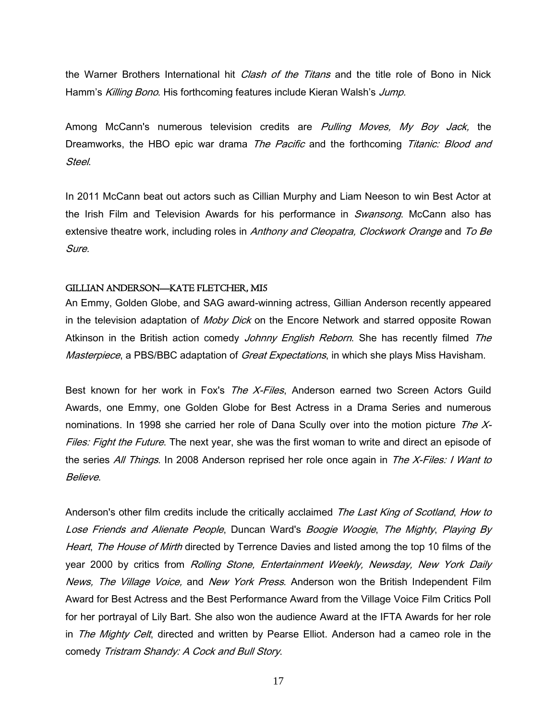the Warner Brothers International hit *Clash of the Titans* and the title role of Bono in Nick Hamm's Killing Bono. His forthcoming features include Kieran Walsh's Jump.

Among McCann's numerous television credits are *Pulling Moves, My Boy Jack*, the Dreamworks, the HBO epic war drama The Pacific and the forthcoming Titanic: Blood and Steel.

In 2011 McCann beat out actors such as Cillian Murphy and Liam Neeson to win Best Actor at the Irish Film and Television Awards for his performance in *Swansong*. McCann also has extensive theatre work, including roles in Anthony and Cleopatra, Clockwork Orange and To Be Sure.

# GILLIAN ANDERSON—KATE FLETCHER, MI5

An Emmy, Golden Globe, and SAG award-winning actress, Gillian Anderson recently appeared in the television adaptation of *Moby Dick* on the Encore Network and starred opposite Rowan Atkinson in the British action comedy *Johnny English Reborn*. She has recently filmed The Masterpiece, a PBS/BBC adaptation of Great Expectations, in which she plays Miss Havisham.

Best known for her work in Fox's The X-Files, Anderson earned two Screen Actors Guild Awards, one Emmy, one Golden Globe for Best Actress in a Drama Series and numerous nominations. In 1998 she carried her role of Dana Scully over into the motion picture The  $X$ -Files: Fight the Future. The next year, she was the first woman to write and direct an episode of the series All Things. In 2008 Anderson reprised her role once again in The X-Files: I Want to Believe.

Anderson's other film credits include the critically acclaimed The Last King of Scotland, How to Lose Friends and Alienate People, Duncan Ward's Boogie Woogie, The Mighty, Playing By Heart, The House of Mirth directed by Terrence Davies and listed among the top 10 films of the year 2000 by critics from Rolling Stone, Entertainment Weekly, Newsday, New York Daily News, The Village Voice, and New York Press. Anderson won the British Independent Film Award for Best Actress and the Best Performance Award from the Village Voice Film Critics Poll for her portrayal of Lily Bart. She also won the audience Award at the IFTA Awards for her role in The Mighty Celt, directed and written by Pearse Elliot. Anderson had a cameo role in the comedy Tristram Shandy: A Cock and Bull Story.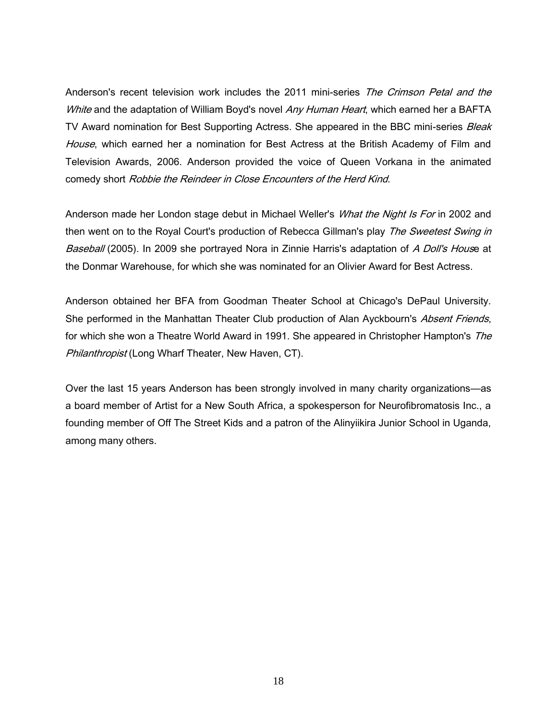Anderson's recent television work includes the 2011 mini-series The Crimson Petal and the White and the adaptation of William Boyd's novel Any Human Heart, which earned her a BAFTA TV Award nomination for Best Supporting Actress. She appeared in the BBC mini-series *Bleak* House, which earned her a nomination for Best Actress at the British Academy of Film and Television Awards, 2006. Anderson provided the voice of Queen Vorkana in the animated comedy short Robbie the Reindeer in Close Encounters of the Herd Kind.

Anderson made her London stage debut in Michael Weller's *What the Night Is For* in 2002 and then went on to the Royal Court's production of Rebecca Gillman's play The Sweetest Swing in Baseball (2005). In 2009 she portrayed Nora in Zinnie Harris's adaptation of A Doll's House at the Donmar Warehouse, for which she was nominated for an Olivier Award for Best Actress.

Anderson obtained her BFA from Goodman Theater School at Chicago's DePaul University. She performed in the Manhattan Theater Club production of Alan Ayckbourn's Absent Friends, for which she won a Theatre World Award in 1991. She appeared in Christopher Hampton's The Philanthropist (Long Wharf Theater, New Haven, CT).

Over the last 15 years Anderson has been strongly involved in many charity organizations—as a board member of Artist for a New South Africa, a spokesperson for Neurofibromatosis Inc., a founding member of Off The Street Kids and a patron of the Alinyiikira Junior School in Uganda, among many others.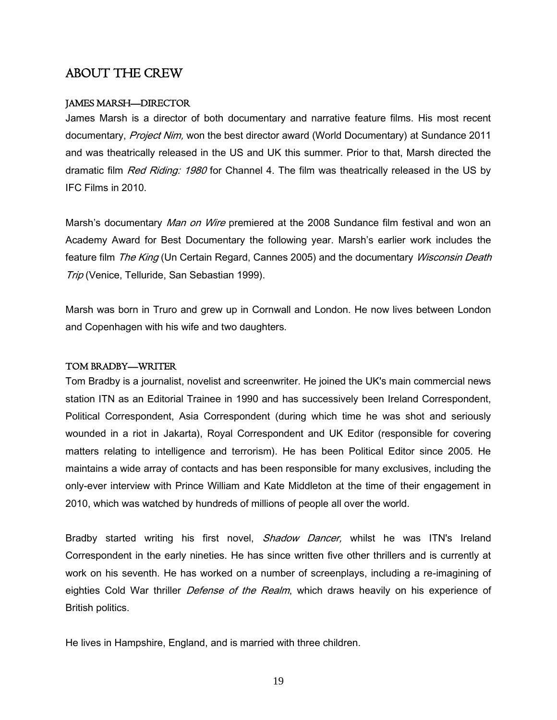# ABOUT THE CREW

# JAMES MARSH—DIRECTOR

James Marsh is a director of both documentary and narrative feature films. His most recent documentary, Project Nim, won the best director award (World Documentary) at Sundance 2011 and was theatrically released in the US and UK this summer. Prior to that, Marsh directed the dramatic film *Red Riding: 1980* for Channel 4. The film was theatrically released in the US by IFC Films in 2010.

Marsh's documentary *Man on Wire* premiered at the 2008 Sundance film festival and won an Academy Award for Best Documentary the following year. Marsh's earlier work includes the feature film The King (Un Certain Regard, Cannes 2005) and the documentary Wisconsin Death Trip (Venice, Telluride, San Sebastian 1999).

Marsh was born in Truro and grew up in Cornwall and London. He now lives between London and Copenhagen with his wife and two daughters.

#### TOM BRADBY—WRITER

Tom Bradby is a journalist, novelist and screenwriter. He joined the UK's main commercial news station ITN as an Editorial Trainee in 1990 and has successively been Ireland Correspondent, Political Correspondent, Asia Correspondent (during which time he was shot and seriously wounded in a riot in Jakarta), Royal Correspondent and UK Editor (responsible for covering matters relating to intelligence and terrorism). He has been Political Editor since 2005. He maintains a wide array of contacts and has been responsible for many exclusives, including the only-ever interview with Prince William and Kate Middleton at the time of their engagement in 2010, which was watched by hundreds of millions of people all over the world.

Bradby started writing his first novel, *Shadow Dancer*, whilst he was ITN's Ireland Correspondent in the early nineties. He has since written five other thrillers and is currently at work on his seventh. He has worked on a number of screenplays, including a re-imagining of eighties Cold War thriller *Defense of the Realm*, which draws heavily on his experience of British politics.

He lives in Hampshire, England, and is married with three children.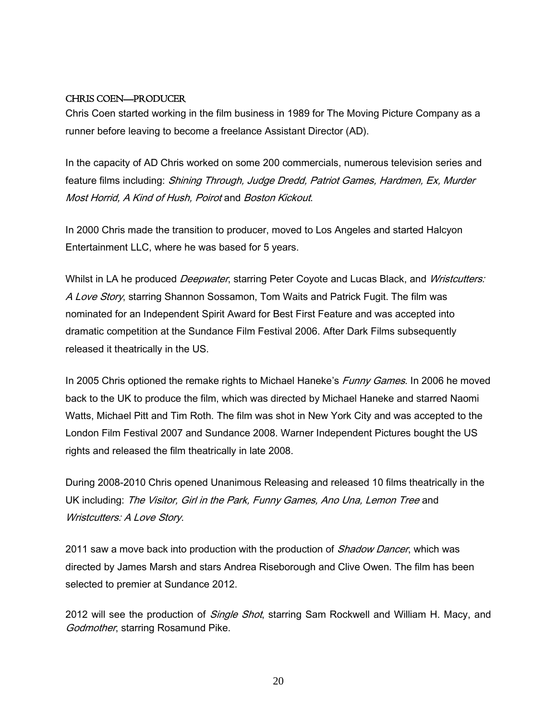# CHRIS COEN—PRODUCER

Chris Coen started working in the film business in 1989 for The Moving Picture Company as a runner before leaving to become a freelance Assistant Director (AD).

In the capacity of AD Chris worked on some 200 commercials, numerous television series and feature films including: Shining Through, Judge Dredd, Patriot Games, Hardmen, Ex, Murder Most Horrid, A Kind of Hush, Poirot and Boston Kickout.

In 2000 Chris made the transition to producer, moved to Los Angeles and started Halcyon Entertainment LLC, where he was based for 5 years.

Whilst in LA he produced *Deepwater*, starring Peter Coyote and Lucas Black, and Wristcutters: A Love Story, starring Shannon Sossamon, Tom Waits and Patrick Fugit. The film was nominated for an Independent Spirit Award for Best First Feature and was accepted into dramatic competition at the Sundance Film Festival 2006. After Dark Films subsequently released it theatrically in the US.

In 2005 Chris optioned the remake rights to Michael Haneke's Funny Games. In 2006 he moved back to the UK to produce the film, which was directed by Michael Haneke and starred Naomi Watts, Michael Pitt and Tim Roth. The film was shot in New York City and was accepted to the London Film Festival 2007 and Sundance 2008. Warner Independent Pictures bought the US rights and released the film theatrically in late 2008.

During 2008-2010 Chris opened Unanimous Releasing and released 10 films theatrically in the UK including: The Visitor, Girl in the Park, Funny Games, Ano Una, Lemon Tree and Wristcutters: A Love Story.

2011 saw a move back into production with the production of *Shadow Dancer*, which was directed by James Marsh and stars Andrea Riseborough and Clive Owen. The film has been selected to premier at Sundance 2012.

2012 will see the production of *Single Shot*, starring Sam Rockwell and William H. Macy, and Godmother, starring Rosamund Pike.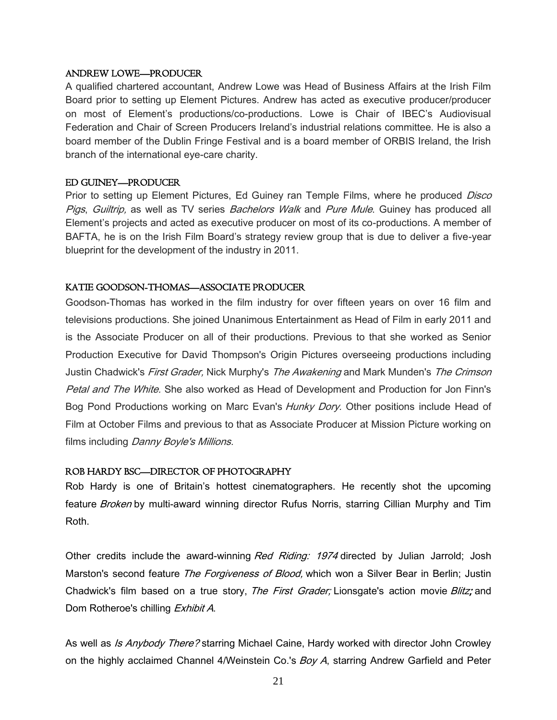# ANDREW LOWE—PRODUCER

A qualified chartered accountant, Andrew Lowe was Head of Business Affairs at the Irish Film Board prior to setting up Element Pictures. Andrew has acted as executive producer/producer on most of Element's productions/co-productions. Lowe is Chair of IBEC's Audiovisual Federation and Chair of Screen Producers Ireland's industrial relations committee. He is also a board member of the Dublin Fringe Festival and is a board member of ORBIS Ireland, the Irish branch of the international eye-care charity.

# ED GUINEY—PRODUCER

Prior to setting up Element Pictures, Ed Guiney ran Temple Films, where he produced *Disco* Pigs, Guiltrip, as well as TV series Bachelors Walk and Pure Mule. Guiney has produced all Element's projects and acted as executive producer on most of its co-productions. A member of BAFTA, he is on the Irish Film Board's strategy review group that is due to deliver a five-year blueprint for the development of the industry in 2011.

# KATIE GOODSON-THOMAS—ASSOCIATE PRODUCER

Goodson-Thomas has worked in the film industry for over fifteen years on over 16 film and televisions productions. She joined Unanimous Entertainment as Head of Film in early 2011 and is the Associate Producer on all of their productions. Previous to that she worked as Senior Production Executive for David Thompson's Origin Pictures overseeing productions including Justin Chadwick's *First Grader*, Nick Murphy's *The Awakening* and Mark Munden's *The Crimson* Petal and The White. She also worked as Head of Development and Production for Jon Finn's Bog Pond Productions working on Marc Evan's Hunky Dory. Other positions include Head of Film at October Films and previous to that as Associate Producer at Mission Picture working on films including *Danny Boyle's Millions.* 

# ROB HARDY BSC—DIRECTOR OF PHOTOGRAPHY

Rob Hardy is one of Britain's hottest cinematographers. He recently shot the upcoming feature *Broken* by multi-award winning director Rufus Norris, starring Cillian Murphy and Tim Roth.

Other credits include the award-winning Red Riding: 1974 directed by Julian Jarrold; Josh Marston's second feature The Forgiveness of Blood, which won a Silver Bear in Berlin; Justin Chadwick's film based on a true story, The First Grader; Lionsgate's action movie Blitz; and Dom Rotheroe's chilling Exhibit A.

As well as *Is Anybody There?* starring Michael Caine, Hardy worked with director John Crowley on the highly acclaimed Channel 4/Weinstein Co.'s Boy A, starring Andrew Garfield and Peter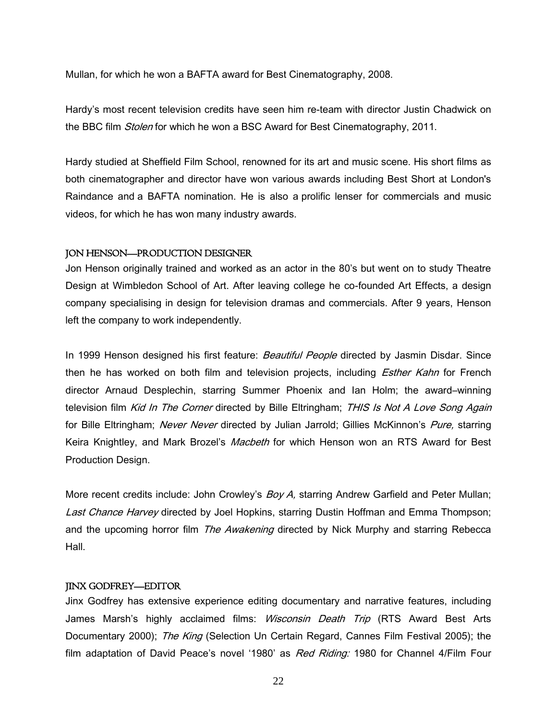Mullan, for which he won a BAFTA award for Best Cinematography, 2008.

Hardy's most recent television credits have seen him re-team with director Justin Chadwick on the BBC film *Stolen* for which he won a BSC Award for Best Cinematography, 2011.

Hardy studied at Sheffield Film School, renowned for its art and music scene. His short films as both cinematographer and director have won various awards including Best Short at London's Raindance and a BAFTA nomination. He is also a prolific lenser for commercials and music videos, for which he has won many industry awards.

#### JON HENSON—PRODUCTION DESIGNER

Jon Henson originally trained and worked as an actor in the 80's but went on to study Theatre Design at Wimbledon School of Art. After leaving college he co-founded Art Effects, a design company specialising in design for television dramas and commercials. After 9 years, Henson left the company to work independently.

In 1999 Henson designed his first feature: Beautiful People directed by Jasmin Disdar. Since then he has worked on both film and television projects, including *Esther Kahn* for French director Arnaud Desplechin, starring Summer Phoenix and Ian Holm; the award–winning television film Kid In The Corner directed by Bille Eltringham; THIS Is Not A Love Song Again for Bille Eltringham; Never Never directed by Julian Jarrold; Gillies McKinnon's Pure, starring Keira Knightley, and Mark Brozel's *Macbeth* for which Henson won an RTS Award for Best Production Design.

More recent credits include: John Crowley's Boy A, starring Andrew Garfield and Peter Mullan; Last Chance Harvey directed by Joel Hopkins, starring Dustin Hoffman and Emma Thompson; and the upcoming horror film The Awakening directed by Nick Murphy and starring Rebecca Hall.

#### JINX GODFREY—EDITOR

Jinx Godfrey has extensive experience editing documentary and narrative features, including James Marsh's highly acclaimed films: *Wisconsin Death Trip* (RTS Award Best Arts Documentary 2000); The King (Selection Un Certain Regard, Cannes Film Festival 2005); the film adaptation of David Peace's novel '1980' as Red Riding: 1980 for Channel 4/Film Four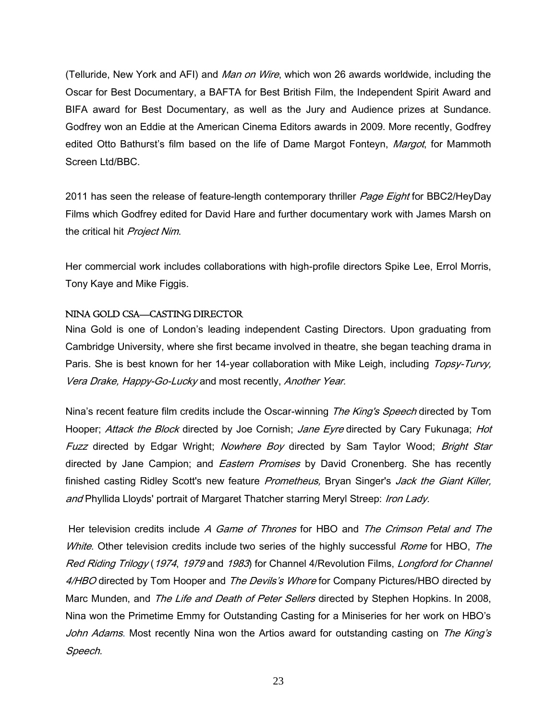(Telluride, New York and AFI) and Man on Wire, which won 26 awards worldwide, including the Oscar for Best Documentary, a BAFTA for Best British Film, the Independent Spirit Award and BIFA award for Best Documentary, as well as the Jury and Audience prizes at Sundance. Godfrey won an Eddie at the American Cinema Editors awards in 2009. More recently, Godfrey edited Otto Bathurst's film based on the life of Dame Margot Fonteyn, Margot, for Mammoth Screen Ltd/BBC.

2011 has seen the release of feature-length contemporary thriller *Page Eight* for BBC2/HeyDay Films which Godfrey edited for David Hare and further documentary work with James Marsh on the critical hit Project Nim.

Her commercial work includes collaborations with high-profile directors Spike Lee, Errol Morris, Tony Kaye and Mike Figgis.

# NINA GOLD CSA—CASTING DIRECTOR

Nina Gold is one of London's leading independent Casting Directors. Upon graduating from Cambridge University, where she first became involved in theatre, she began teaching drama in Paris. She is best known for her 14-year collaboration with Mike Leigh, including Topsy-Turvy, Vera Drake, Happy-Go-Lucky and most recently, Another Year.

Nina's recent feature film credits include the Oscar-winning The King's Speech directed by Tom Hooper; Attack the Block directed by Joe Cornish; Jane Eyre directed by Cary Fukunaga; Hot Fuzz directed by Edgar Wright; Nowhere Boy directed by Sam Taylor Wood; Bright Star directed by Jane Campion; and *Eastern Promises* by David Cronenberg. She has recently finished casting Ridley Scott's new feature *Prometheus*, Bryan Singer's Jack the Giant Killer, and Phyllida Lloyds' portrait of Margaret Thatcher starring Meryl Streep: Iron Lady.

Her television credits include A Game of Thrones for HBO and The Crimson Petal and The White. Other television credits include two series of the highly successful Rome for HBO, The Red Riding Trilogy (1974, 1979 and 1983) for Channel 4/Revolution Films, Longford for Channel 4/HBO directed by Tom Hooper and The Devils's Whore for Company Pictures/HBO directed by Marc Munden, and The Life and Death of Peter Sellers directed by Stephen Hopkins. In 2008, Nina won the Primetime Emmy for Outstanding Casting for a Miniseries for her work on HBO's John Adams. Most recently Nina won the Artios award for outstanding casting on The King's Speech.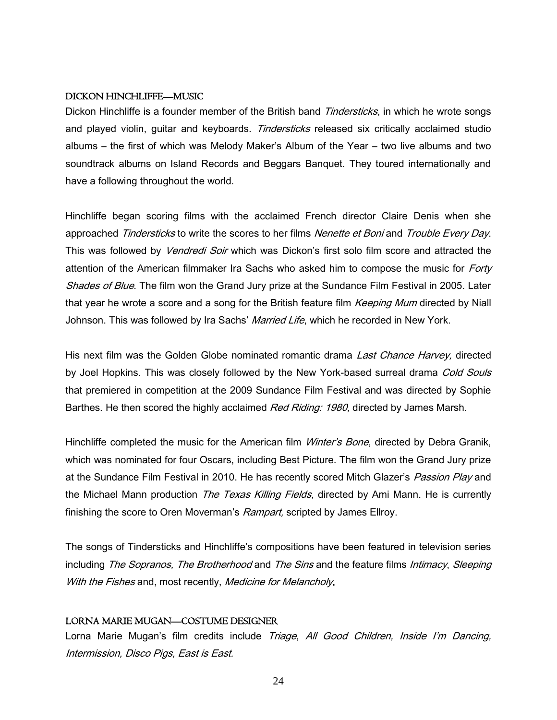#### DICKON HINCHLIFFE—MUSIC

Dickon Hinchliffe is a founder member of the British band *Tindersticks*, in which he wrote songs and played violin, guitar and keyboards. Tindersticks released six critically acclaimed studio albums – the first of which was Melody Maker's Album of the Year – two live albums and two soundtrack albums on Island Records and Beggars Banquet. They toured internationally and have a following throughout the world.

Hinchliffe began scoring films with the acclaimed French director Claire Denis when she approached Tindersticks to write the scores to her films Nenette et Boni and Trouble Every Day. This was followed by *Vendredi Soir* which was Dickon's first solo film score and attracted the attention of the American filmmaker Ira Sachs who asked him to compose the music for *Forty* Shades of Blue. The film won the Grand Jury prize at the Sundance Film Festival in 2005. Later that year he wrote a score and a song for the British feature film *Keeping Mum* directed by Niall Johnson. This was followed by Ira Sachs' Married Life, which he recorded in New York.

His next film was the Golden Globe nominated romantic drama Last Chance Harvey, directed by Joel Hopkins. This was closely followed by the New York-based surreal drama Cold Souls that premiered in competition at the 2009 Sundance Film Festival and was directed by Sophie Barthes. He then scored the highly acclaimed *Red Riding: 1980*, directed by James Marsh.

Hinchliffe completed the music for the American film *Winter's Bone*, directed by Debra Granik, which was nominated for four Oscars, including Best Picture. The film won the Grand Jury prize at the Sundance Film Festival in 2010. He has recently scored Mitch Glazer's Passion Play and the Michael Mann production The Texas Killing Fields, directed by Ami Mann. He is currently finishing the score to Oren Moverman's Rampart, scripted by James Ellroy.

The songs of Tindersticks and Hinchliffe's compositions have been featured in television series including The Sopranos, The Brotherhood and The Sins and the feature films Intimacy, Sleeping With the Fishes and, most recently, Medicine for Melancholy.

# LORNA MARIE MUGAN—COSTUME DESIGNER

Lorna Marie Mugan's film credits include Triage, All Good Children, Inside I'm Dancing, Intermission, Disco Pigs, East is East.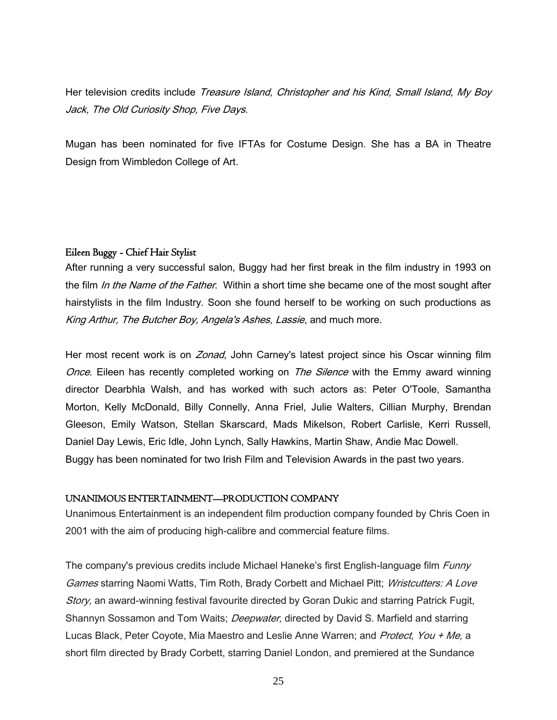Her television credits include Treasure Island, Christopher and his Kind, Small Island, My Boy Jack, The Old Curiosity Shop, Five Days.

Mugan has been nominated for five IFTAs for Costume Design. She has a BA in Theatre Design from Wimbledon College of Art.

# Eileen Buggy - Chief Hair Stylist

After running a very successful salon, Buggy had her first break in the film industry in 1993 on the film In the Name of the Father. Within a short time she became one of the most sought after hairstylists in the film Industry. Soon she found herself to be working on such productions as King Arthur, The Butcher Boy, Angela's Ashes, Lassie, and much more.

Her most recent work is on Zonad, John Carney's latest project since his Oscar winning film Once. Eileen has recently completed working on The Silence with the Emmy award winning director Dearbhla Walsh, and has worked with such actors as: Peter O'Toole, Samantha Morton, Kelly McDonald, Billy Connelly, Anna Friel, Julie Walters, Cillian Murphy, Brendan Gleeson, Emily Watson, Stellan Skarscard, Mads Mikelson, Robert Carlisle, Kerri Russell, Daniel Day Lewis, Eric Idle, John Lynch, Sally Hawkins, Martin Shaw, Andie Mac Dowell. Buggy has been nominated for two Irish Film and Television Awards in the past two years.

# UNANIMOUS ENTERTAINMENT—PRODUCTION COMPANY

Unanimous Entertainment is an independent film production company founded by Chris Coen in 2001 with the aim of producing high-calibre and commercial feature films.

The company's previous credits include Michael Haneke's first English-language film *Funny* Games starring Naomi Watts, Tim Roth, Brady Corbett and Michael Pitt; Wristcutters: A Love Story, an award-winning festival favourite directed by Goran Dukic and starring Patrick Fugit, Shannyn Sossamon and Tom Waits; *Deepwater*, directed by David S. Marfield and starring Lucas Black, Peter Coyote, Mia Maestro and Leslie Anne Warren; and Protect, You + Me, a short film directed by Brady Corbett, starring Daniel London, and premiered at the Sundance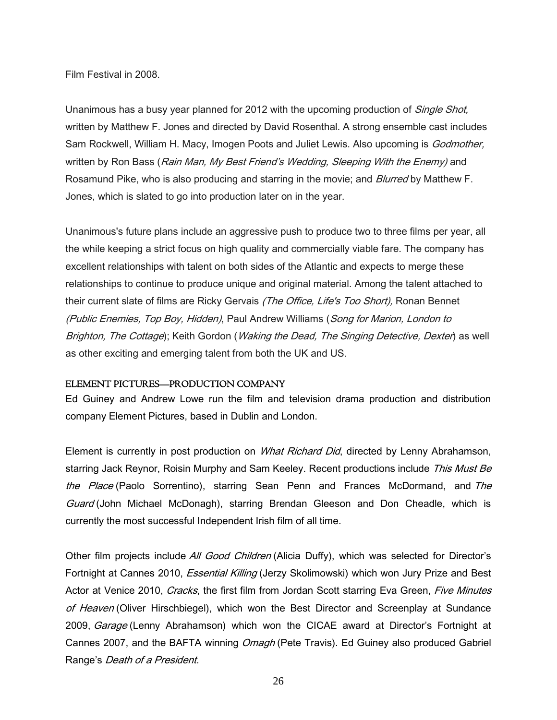Film Festival in 2008.

Unanimous has a busy year planned for 2012 with the upcoming production of *Single Shot*, written by Matthew F. Jones and directed by David Rosenthal. A strong ensemble cast includes Sam Rockwell, William H. Macy, Imogen Poots and Juliet Lewis. Also upcoming is Godmother, written by Ron Bass (Rain Man, My Best Friend's Wedding, Sleeping With the Enemy) and Rosamund Pike, who is also producing and starring in the movie; and *Blurred* by Matthew F. Jones, which is slated to go into production later on in the year.

Unanimous's future plans include an aggressive push to produce two to three films per year, all the while keeping a strict focus on high quality and commercially viable fare. The company has excellent relationships with talent on both sides of the Atlantic and expects to merge these relationships to continue to produce unique and original material. Among the talent attached to their current slate of films are Ricky Gervais (The Office, Life's Too Short), Ronan Bennet (Public Enemies, Top Boy, Hidden), Paul Andrew Williams (Song for Marion, London to Brighton, The Cottage); Keith Gordon (*Waking the Dead, The Singing Detective, Dexter*) as well as other exciting and emerging talent from both the UK and US.

#### ELEMENT PICTURES—PRODUCTION COMPANY

Ed Guiney and Andrew Lowe run the film and television drama production and distribution company Element Pictures, based in Dublin and London.

Element is currently in post production on *What Richard Did*, directed by Lenny Abrahamson, starring Jack Reynor, Roisin Murphy and Sam Keeley. Recent productions include This Must Be the Place (Paolo Sorrentino), starring Sean Penn and Frances McDormand, and The Guard (John Michael McDonagh), starring Brendan Gleeson and Don Cheadle, which is currently the most successful Independent Irish film of all time.

Other film projects include All Good Children (Alicia Duffy), which was selected for Director's Fortnight at Cannes 2010, *Essential Killing* (Jerzy Skolimowski) which won Jury Prize and Best Actor at Venice 2010, Cracks, the first film from Jordan Scott starring Eva Green, Five Minutes of Heaven (Oliver Hirschbiegel), which won the Best Director and Screenplay at Sundance 2009, *Garage* (Lenny Abrahamson) which won the CICAE award at Director's Fortnight at Cannes 2007, and the BAFTA winning *Omagh* (Pete Travis). Ed Guiney also produced Gabriel Range's Death of a President.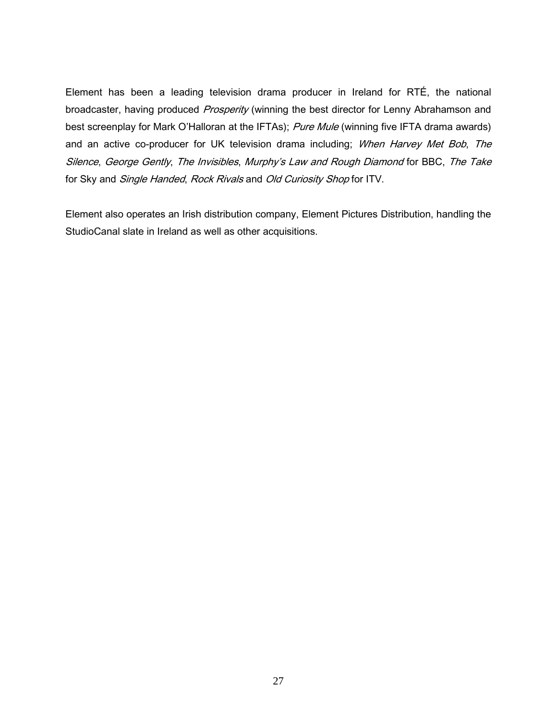Element has been a leading television drama producer in Ireland for RTÉ, the national broadcaster, having produced Prosperity (winning the best director for Lenny Abrahamson and best screenplay for Mark O'Halloran at the IFTAs); Pure Mule (winning five IFTA drama awards) and an active co-producer for UK television drama including; When Harvey Met Bob, The Silence, George Gently, The Invisibles, Murphy's Law and Rough Diamond for BBC, The Take for Sky and Single Handed, Rock Rivals and Old Curiosity Shop for ITV.

Element also operates an Irish distribution company, Element Pictures Distribution, handling the StudioCanal slate in Ireland as well as other acquisitions.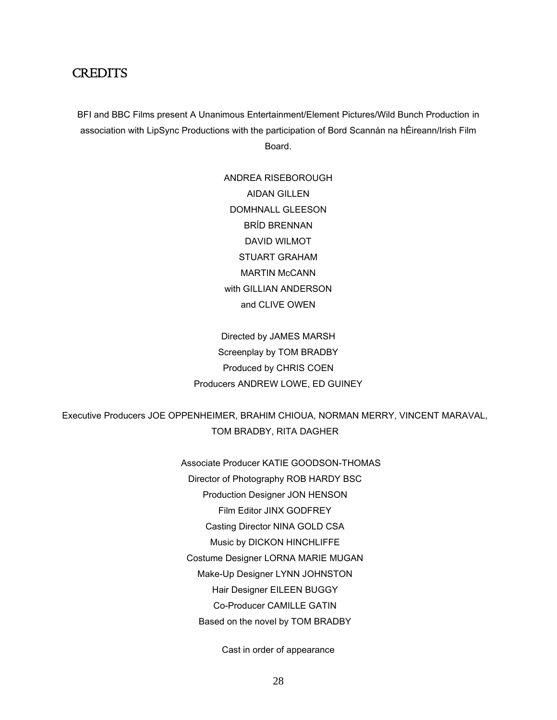# **CREDITS**

BFI and BBC Films present A Unanimous Entertainment/Element Pictures/Wild Bunch Production in association with LipSync Productions with the participation of Bord Scannán na hÉireann/Irish Film Board.

> ANDREA RISEBOROUGH AIDAN GILLEN DOMHNALL GLEESON BRÍD BRENNAN DAVID WILMOT STUART GRAHAM MARTIN McCANN with GILLIAN ANDERSON and CLIVE OWEN

Directed by JAMES MARSH Screenplay by TOM BRADBY Produced by CHRIS COEN Producers ANDREW LOWE, ED GUINEY

# Executive Producers JOE OPPENHEIMER, BRAHIM CHIOUA, NORMAN MERRY, VINCENT MARAVAL, TOM BRADBY, RITA DAGHER

Associate Producer KATIE GOODSON-THOMAS Director of Photography ROB HARDY BSC Production Designer JON HENSON Film Editor JINX GODFREY Casting Director NINA GOLD CSA Music by DICKON HINCHLIFFE Costume Designer LORNA MARIE MUGAN Make-Up Designer LYNN JOHNSTON Hair Designer EILEEN BUGGY Co-Producer CAMILLE GATIN Based on the novel by TOM BRADBY

Cast in order of appearance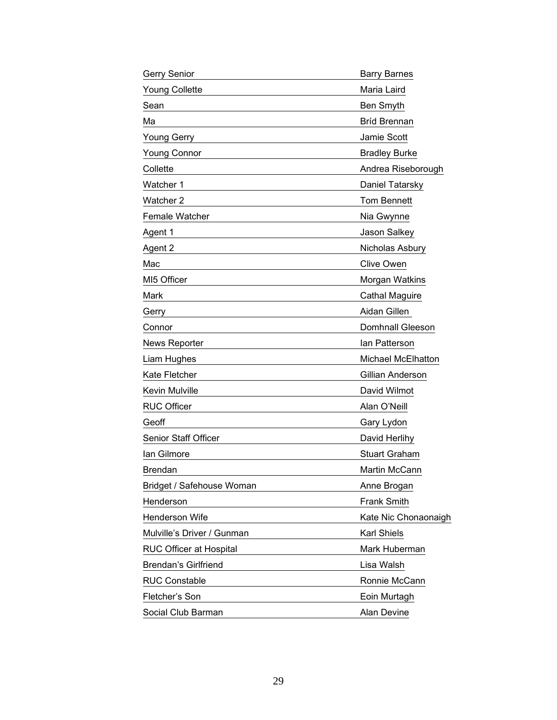| Gerry Senior                | <b>Barry Barnes</b>     |
|-----------------------------|-------------------------|
| <b>Young Collette</b>       | Maria Laird             |
| Sean                        | Ben Smyth               |
| Ма                          | <b>Bríd Brennan</b>     |
| <b>Young Gerry</b>          | Jamie Scott             |
| <b>Young Connor</b>         | <b>Bradley Burke</b>    |
| Collette                    | Andrea Riseborough      |
| Watcher 1                   | Daniel Tatarsky         |
| Watcher 2                   | <b>Tom Bennett</b>      |
| Female Watcher              | Nia Gwynne              |
| Agent 1                     | Jason Salkey            |
| Agent 2                     | Nicholas Asbury         |
| Mac                         | <b>Clive Owen</b>       |
| MI5 Officer                 | Morgan Watkins          |
| Mark                        | <b>Cathal Maguire</b>   |
| Gerry                       | Aidan Gillen            |
| Connor                      | <b>Domhnall Gleeson</b> |
| <b>News Reporter</b>        | lan Patterson           |
| Liam Hughes                 | Michael McElhatton      |
| Kate Fletcher               | Gillian Anderson        |
| Kevin Mulville              | David Wilmot            |
| <b>RUC Officer</b>          | Alan O'Neill            |
| Geoff                       | Gary Lydon              |
| Senior Staff Officer        | David Herlihy           |
| lan Gilmore                 | <b>Stuart Graham</b>    |
| <b>Brendan</b>              | Martin McCann           |
| Bridget / Safehouse Woman   | Anne Brogan             |
| Henderson                   | <b>Frank Smith</b>      |
| Henderson Wife              | Kate Nic Chonaonaigh    |
| Mulville's Driver / Gunman  | Karl Shiels             |
| RUC Officer at Hospital     | Mark Huberman           |
| <b>Brendan's Girlfriend</b> | Lisa Walsh              |
| <b>RUC Constable</b>        | Ronnie McCann           |
| Fletcher's Son              | Eoin Murtagh            |
| Social Club Barman          | Alan Devine             |